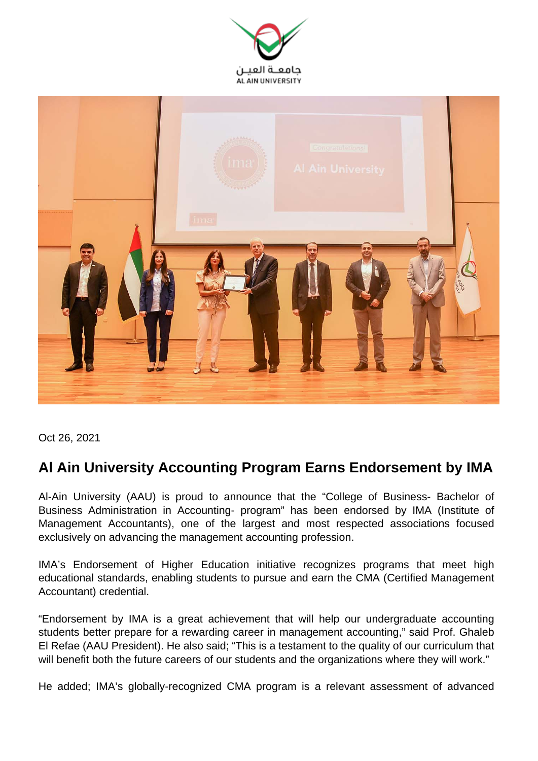



Oct 26, 2021

## **Al Ain University Accounting Program Earns Endorsement by IMA**

Al-Ain University (AAU) is proud to announce that the "College of Business- Bachelor of Business Administration in Accounting- program" has been endorsed by IMA (Institute of Management Accountants), one of the largest and most respected associations focused exclusively on advancing the management accounting profession.

IMA's Endorsement of Higher Education initiative recognizes programs that meet high educational standards, enabling students to pursue and earn the CMA (Certified Management Accountant) credential.

"Endorsement by IMA is a great achievement that will help our undergraduate accounting students better prepare for a rewarding career in management accounting," said Prof. Ghaleb El Refae (AAU President). He also said; "This is a testament to the quality of our curriculum that will benefit both the future careers of our students and the organizations where they will work."

He added; IMA's globally-recognized CMA program is a relevant assessment of advanced